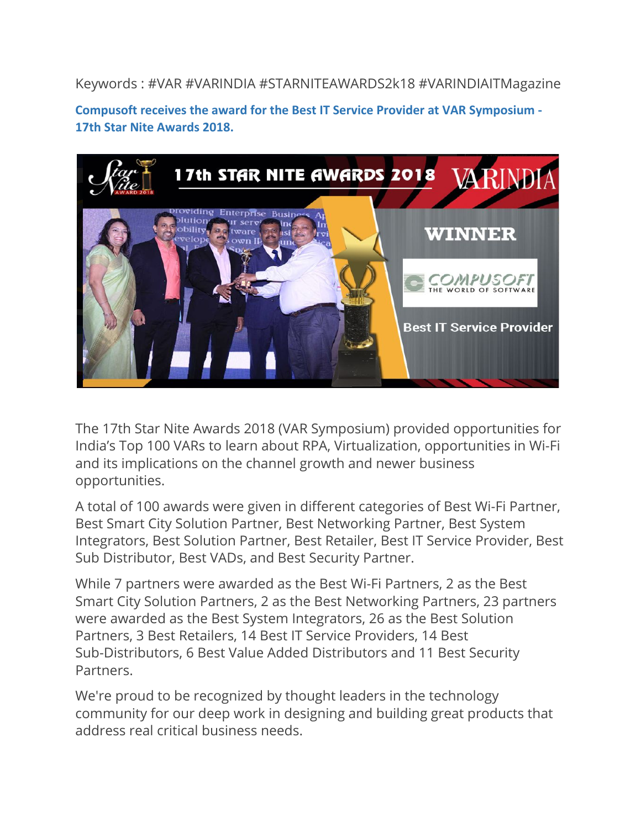Keywords : #VAR #VARINDIA #STARNITEAWARDS2k18 #VARINDIAITMagazine

**Compusoft receives the award for the Best IT Service Provider at VAR Symposium - 17th Star Nite Awards 2018.**



The 17th Star Nite Awards 2018 (VAR Symposium) provided opportunities for India's Top 100 VARs to learn about RPA, Virtualization, opportunities in Wi-Fi and its implications on the channel growth and newer business opportunities.

A total of 100 awards were given in different categories of Best Wi-Fi Partner, Best Smart City Solution Partner, Best Networking Partner, Best System Integrators, Best Solution Partner, Best Retailer, Best IT Service Provider, Best Sub Distributor, Best VADs, and Best Security Partner.

While 7 partners were awarded as the Best Wi-Fi Partners, 2 as the Best Smart City Solution Partners, 2 as the Best Networking Partners, 23 partners were awarded as the Best System Integrators, 26 as the Best Solution Partners, 3 Best Retailers, 14 Best IT Service Providers, 14 Best Sub-Distributors, 6 Best Value Added Distributors and 11 Best Security Partners.

We're proud to be recognized by thought leaders in the technology community for our deep work in designing and building great products that address real critical business needs.